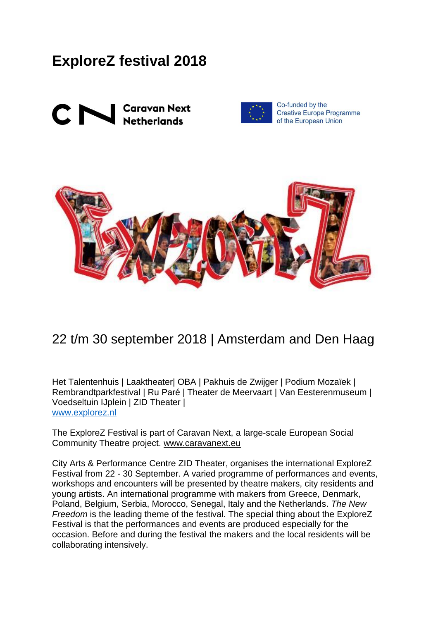# **ExploreZ festival 2018**





Co-funded by the **Creative Europe Programme** of the European Union



## 22 t/m 30 september 2018 | Amsterdam and Den Haag

Het Talentenhuis | Laaktheater| OBA | Pakhuis de Zwijger | Podium Mozaïek | Rembrandtparkfestival | Ru Paré | Theater de Meervaart | Van Eesterenmuseum | Voedseltuin IJplein | ZID Theater | [www.explorez.nl](http://www.explorez.nl/)

The ExploreZ Festival is part of Caravan Next, a large-scale European Social Community Theatre project. [www.caravanext.eu](http://www.caravanext.eu/)

City Arts & Performance Centre ZID Theater, organises the international ExploreZ Festival from 22 - 30 September. A varied programme of performances and events, workshops and encounters will be presented by theatre makers, city residents and young artists. An international programme with makers from Greece, Denmark, Poland, Belgium, Serbia, Morocco, Senegal, Italy and the Netherlands. *The New Freedom* is the leading theme of the festival. The special thing about the ExploreZ Festival is that the performances and events are produced especially for the occasion. Before and during the festival the makers and the local residents will be collaborating intensively.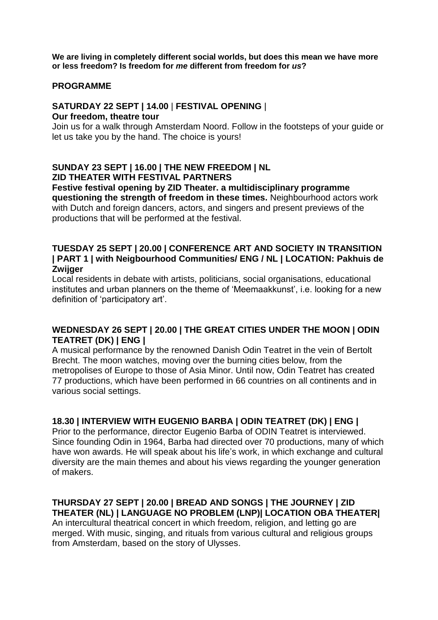**We are living in completely different social worlds, but does this mean we have more or less freedom? Is freedom for** *me* **different from freedom for** *us***?** 

#### **PROGRAMME**

## **SATURDAY 22 SEPT | 14.00** | **FESTIVAL OPENING** |

#### **Our freedom, theatre tour**

Join us for a walk through Amsterdam Noord. Follow in the footsteps of your guide or let us take you by the hand. The choice is yours!

## **SUNDAY 23 SEPT | 16.00 | THE NEW FREEDOM | NL ZID THEATER WITH FESTIVAL PARTNERS**

**Festive festival opening by ZID Theater. a multidisciplinary programme questioning the strength of freedom in these times.** Neighbourhood actors work with Dutch and foreign dancers, actors, and singers and present previews of the productions that will be performed at the festival.

#### **TUESDAY 25 SEPT | 20.00 | CONFERENCE ART AND SOCIETY IN TRANSITION | PART 1 | with Neigbourhood Communities/ ENG / NL | LOCATION: Pakhuis de Zwijger**

Local residents in debate with artists, politicians, social organisations, educational institutes and urban planners on the theme of 'Meemaakkunst', i.e. looking for a new definition of 'participatory art'.

## **WEDNESDAY 26 SEPT | 20.00 | THE GREAT CITIES UNDER THE MOON | ODIN TEATRET (DK) | ENG |**

A musical performance by the renowned Danish Odin Teatret in the vein of Bertolt Brecht. The moon watches, moving over the burning cities below, from the metropolises of Europe to those of Asia Minor. Until now, Odin Teatret has created 77 productions, which have been performed in 66 countries on all continents and in various social settings.

## **18.30 | INTERVIEW WITH EUGENIO BARBA | ODIN TEATRET (DK) | ENG |**

Prior to the performance, director Eugenio Barba of ODIN Teatret is interviewed. Since founding Odin in 1964, Barba had directed over 70 productions, many of which have won awards. He will speak about his life's work, in which exchange and cultural diversity are the main themes and about his views regarding the younger generation of makers.

#### **THURSDAY 27 SEPT | 20.00 | BREAD AND SONGS | THE JOURNEY | ZID THEATER (NL) | LANGUAGE NO PROBLEM (LNP)| LOCATION OBA THEATER|**

An intercultural theatrical concert in which freedom, religion, and letting go are merged. With music, singing, and rituals from various cultural and religious groups from Amsterdam, based on the story of Ulysses.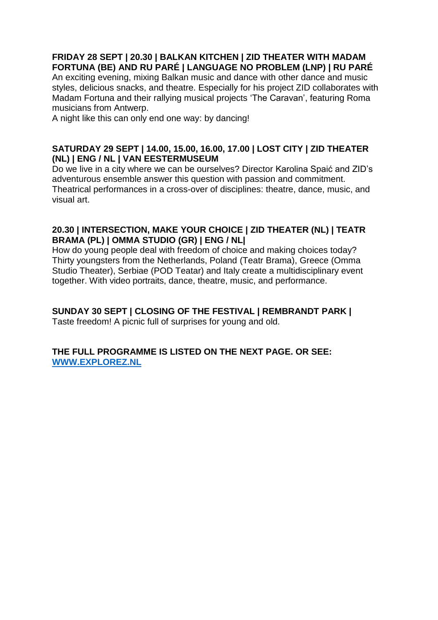## **FRIDAY 28 SEPT | 20.30 | BALKAN KITCHEN | ZID THEATER WITH MADAM FORTUNA (BE) AND RU PARÉ | LANGUAGE NO PROBLEM (LNP) | RU PARÉ**

An exciting evening, mixing Balkan music and dance with other dance and music styles, delicious snacks, and theatre. Especially for his project ZID collaborates with Madam Fortuna and their rallying musical projects 'The Caravan', featuring Roma musicians from Antwerp.

A night like this can only end one way: by dancing!

## **SATURDAY 29 SEPT | 14.00, 15.00, 16.00, 17.00 | LOST CITY | ZID THEATER (NL) | ENG / NL | VAN EESTERMUSEUM**

Do we live in a city where we can be ourselves? Director Karolina Spaić and ZID's adventurous ensemble answer this question with passion and commitment. Theatrical performances in a cross-over of disciplines: theatre, dance, music, and visual art.

## **20.30 | INTERSECTION, MAKE YOUR CHOICE | ZID THEATER (NL) | TEATR BRAMA (PL) | OMMA STUDIO (GR) | ENG / NL|**

How do young people deal with freedom of choice and making choices today? Thirty youngsters from the Netherlands, Poland (Teatr Brama), Greece (Omma Studio Theater), Serbiae (POD Teatar) and Italy create a multidisciplinary event together. With video portraits, dance, theatre, music, and performance.

## **SUNDAY 30 SEPT | CLOSING OF THE FESTIVAL | REMBRANDT PARK |**

Taste freedom! A picnic full of surprises for young and old.

## **THE FULL PROGRAMME IS LISTED ON THE NEXT PAGE. OR SEE: [WWW.EXPLOREZ.NL](http://www.explorez.nl/)**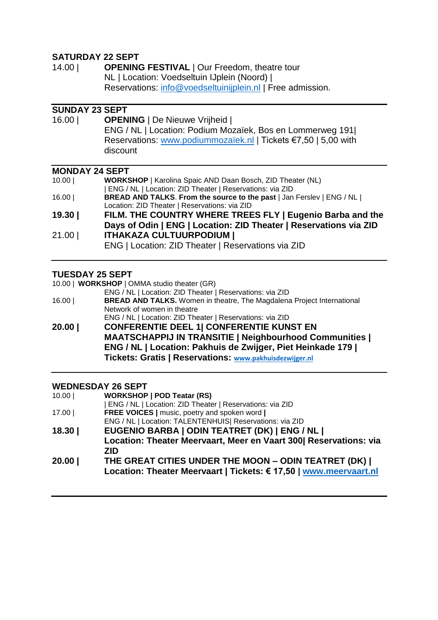## **SATURDAY 22 SEPT**

| 14.00 | <b>OPENING FESTIVAL   Our Freedom, theatre tour</b>        |
|-------|------------------------------------------------------------|
|       | NL   Location: Voedseltuin IJplein (Noord)                 |
|       | Reservations: info@voedseltuinijplein.nl   Free admission. |

## **SUNDAY 23 SEPT**

16.00 | **OPENING** | De Nieuwe Vrijheid | ENG / NL | Location: Podium Mozaïek, Bos en Lommerweg 191| Reservations: [www.podiummozaïek.nl](https://www.dropbox.com/referrer_cleansing_redirect?hmac=Bqx4hDU4cWAUdEOTsYbXk1V5213EPPeC7WH2znFoK%2F4%3D&url=http%3A%2F%2Fwww.podiummoza%C3%AFek.nl) | Tickets €7,50 | 5,00 with discount

#### **MONDAY 24 SEPT**

| 10.00 | <b>WORKSHOP</b>   Karolina Spaic AND Daan Bosch, ZID Theater (NL)              |
|-------|--------------------------------------------------------------------------------|
|       | ENG / NL   Location: ZID Theater   Reservations: via ZID                       |
| 16.00 | <b>BREAD AND TALKS. From the source to the past   Jan Ferslev   ENG / NL  </b> |
|       | Location: ZID Theater   Reservations: via ZID                                  |
| 19.30 | FILM. THE COUNTRY WHERE TREES FLY   Eugenio Barba and the                      |
|       | Days of Odin   ENG   Location: ZID Theater   Reservations via ZID              |
| 21.00 | <b>ITHAKAZA CULTUURPODIUM  </b>                                                |
|       | ENG   Location: ZID Theater   Reservations via ZID                             |

#### **TUESDAY 25 SEPT**

10.00 | **WORKSHOP** | OMMA studio theater (GR)

- ENG / NL | Location: ZID Theater | Reservations: via ZID 16.00 | **BREAD AND TALKS.** Women in theatre, The Magdalena Project International Network of women in theatre ENG / NL | Location: ZID Theater | Reservations: via ZID
- **20.00 | CONFERENTIE DEEL 1| CONFERENTIE KUNST EN MAATSCHAPPIJ IN TRANSITIE | Neighbourhood Communities | ENG / NL | Location: Pakhuis de Zwijger, Piet Heinkade 179 | Tickets: Gratis | Reservations: [www.pakhuisdezwijger.nl](http://www.pakhuisdezwijger.nl/)**

#### **WEDNESDAY 26 SEPT**

| 10.00 | <b>WORKSHOP   POD Teatar (RS)</b>                                              |
|-------|--------------------------------------------------------------------------------|
|       | ENG / NL   Location: ZID Theater   Reservations: via ZID                       |
| 17.00 | FREE VOICES   music, poetry and spoken word                                    |
|       | ENG / NL   Location: TALENTENHUIS  Reservations: via ZID                       |
| 18.30 | EUGENIO BARBA   ODIN TEATRET (DK)   ENG / NL                                   |
|       | Location: Theater Meervaart, Meer en Vaart 300 Reservations: via<br><b>ZID</b> |
| 20.00 | THE GREAT CITIES UNDER THE MOON - ODIN TEATRET (DK)                            |
|       | Location: Theater Meervaart   Tickets: € 17,50   www.meervaart.nl              |